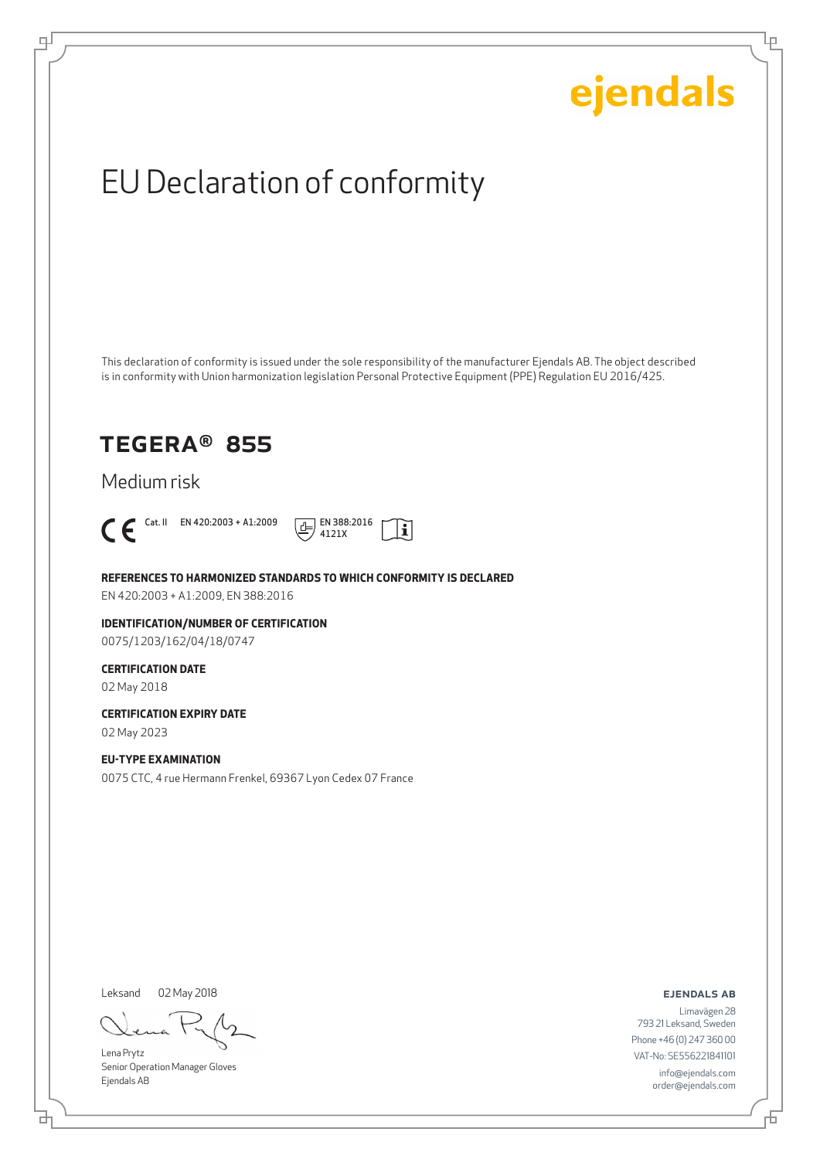Ļμ

## EU Declaration of conformity

This declaration of conformity is issued under the sole responsibility of the manufacturer Ejendals AB. The object described is in conformity with Union harmonization legislation Personal Protective Equipment (PPE) Regulation EU 2016/425.

### TEGERA® 855

Medium risk



டி



**REFERENCES TO HARMONIZED STANDARDS TO WHICH CONFORMITY IS DECLARED**

EN 420:2003 + A1:2009, EN 388:2016

**IDENTIFICATION/NUMBER OF CERTIFICATION** 0075/1203/162/04/18/0747

#### **CERTIFICATION DATE**

02 May 2018

**CERTIFICATION EXPIRY DATE**

02 May 2023

#### **EU-TYPE EXAMINATION**

0075 CTC, 4 rue Hermann Frenkel, 69367 Lyon Cedex 07 France

Leksand 02 May 2018

Lena Prytz Senior Operation Manager Gloves Ejendals AB

ejendals ab

Limavägen 28 793 21 Leksand, Sweden Phone +46 (0) 247 360 00 VAT-No: SE556221841101 info@ejendals.com order@ejendals.com

브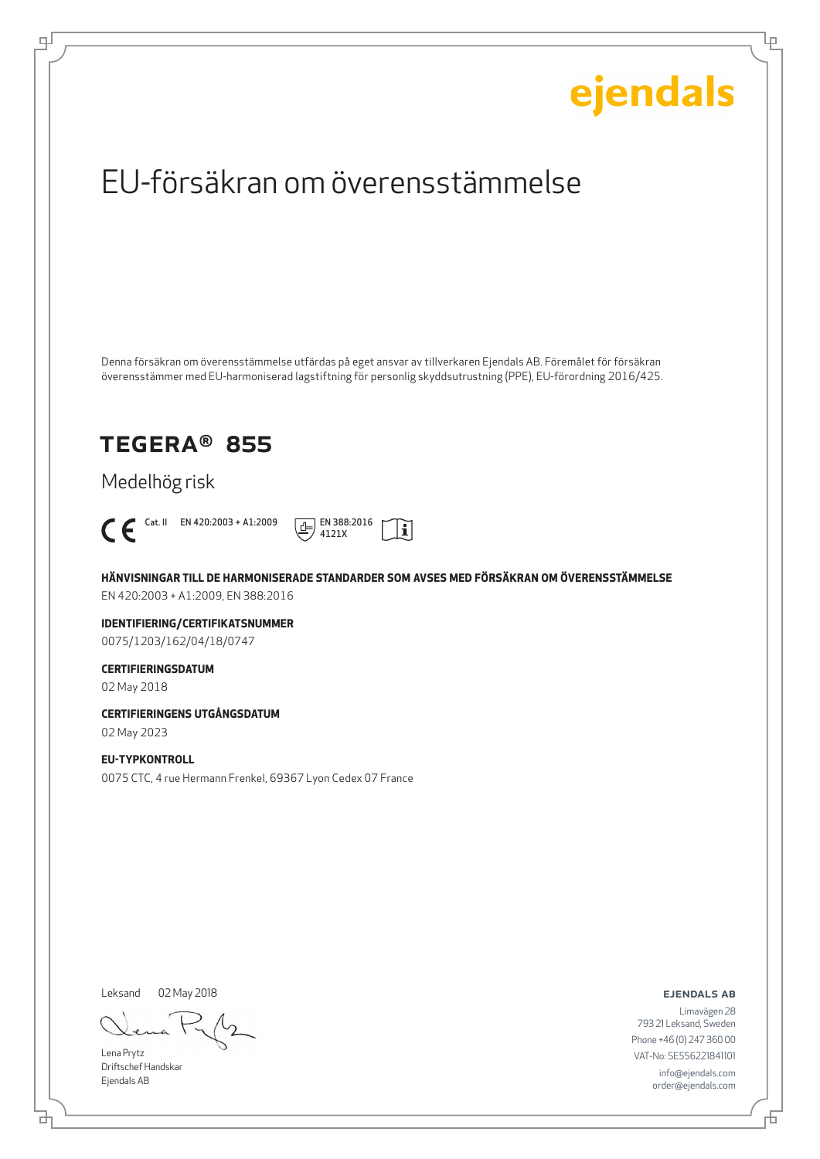Ļμ

## EU-försäkran om överensstämmelse

Denna försäkran om överensstämmelse utfärdas på eget ansvar av tillverkaren Ejendals AB. Föremålet för försäkran överensstämmer med EU-harmoniserad lagstiftning för personlig skyddsutrustning (PPE), EU-förordning 2016/425.

### TEGERA® 855

Medelhög risk



டி



**HÄNVISNINGAR TILL DE HARMONISERADE STANDARDER SOM AVSES MED FÖRSÄKRAN OM ÖVERENSSTÄMMELSE** EN 420:2003 + A1:2009, EN 388:2016

**IDENTIFIERING/CERTIFIKATSNUMMER** 0075/1203/162/04/18/0747

#### **CERTIFIERINGSDATUM**

02 May 2018

**CERTIFIERINGENS UTGÅNGSDATUM**

02 May 2023

#### **EU-TYPKONTROLL**

0075 CTC, 4 rue Hermann Frenkel, 69367 Lyon Cedex 07 France

Leksand

02 May 2018

Lena Prytz Driftschef Handskar Ejendals AB

ejendals ab

Limavägen 28 793 21 Leksand, Sweden Phone +46 (0) 247 360 00 VAT-No: SE556221841101 info@ejendals.com order@ejendals.com

舌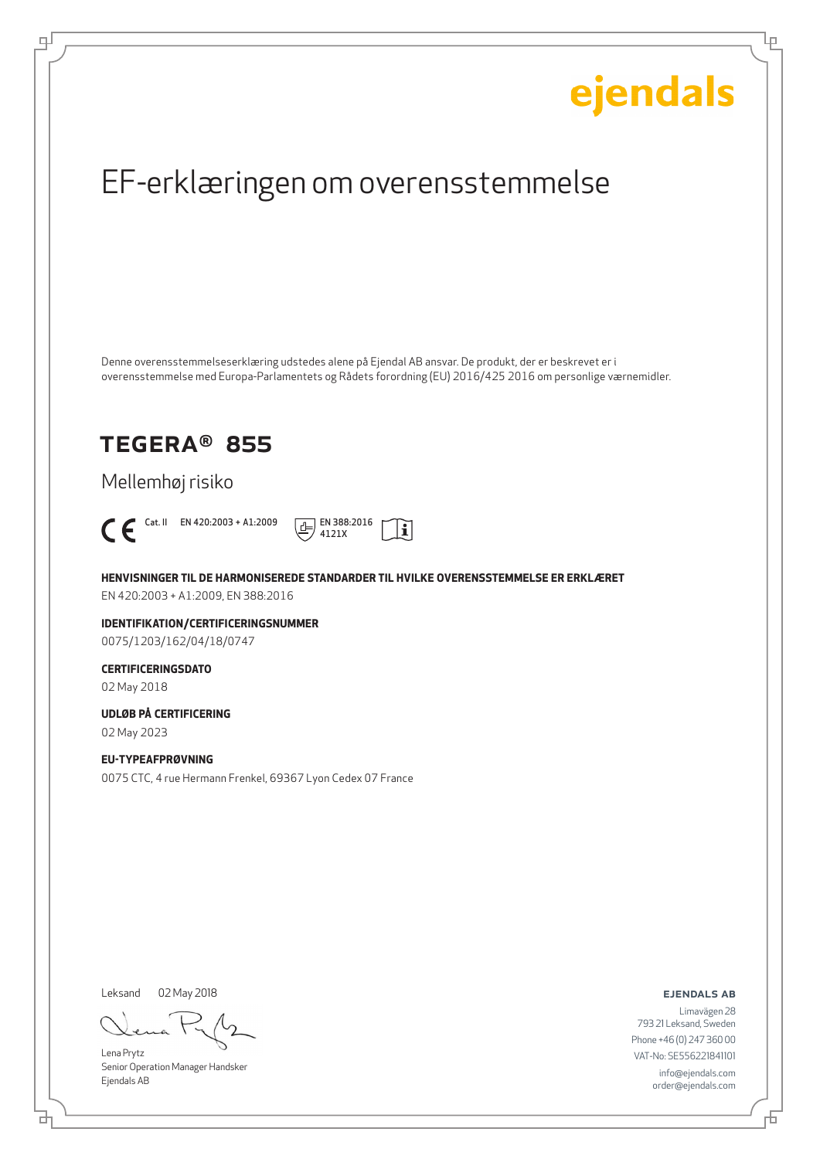Ļμ

## EF-erklæringen om overensstemmelse

Denne overensstemmelseserklæring udstedes alene på Ejendal AB ansvar. De produkt, der er beskrevet er i overensstemmelse med Europa-Parlamentets og Rådets forordning (EU) 2016/425 2016 om personlige værnemidler.

### TEGERA® 855

Mellemhøj risiko



டி



**HENVISNINGER TIL DE HARMONISEREDE STANDARDER TIL HVILKE OVERENSSTEMMELSE ER ERKLÆRET** EN 420:2003 + A1:2009, EN 388:2016

**IDENTIFIKATION/CERTIFICERINGSNUMMER** 0075/1203/162/04/18/0747

### **CERTIFICERINGSDATO**

02 May 2018

#### **UDLØB PÅ CERTIFICERING**

02 May 2023

#### **EU-TYPEAFPRØVNING**

0075 CTC, 4 rue Hermann Frenkel, 69367 Lyon Cedex 07 France

Leksand 02 May 2018

Lena Prytz Senior Operation Manager Handsker Ejendals AB

ejendals ab

Đ

브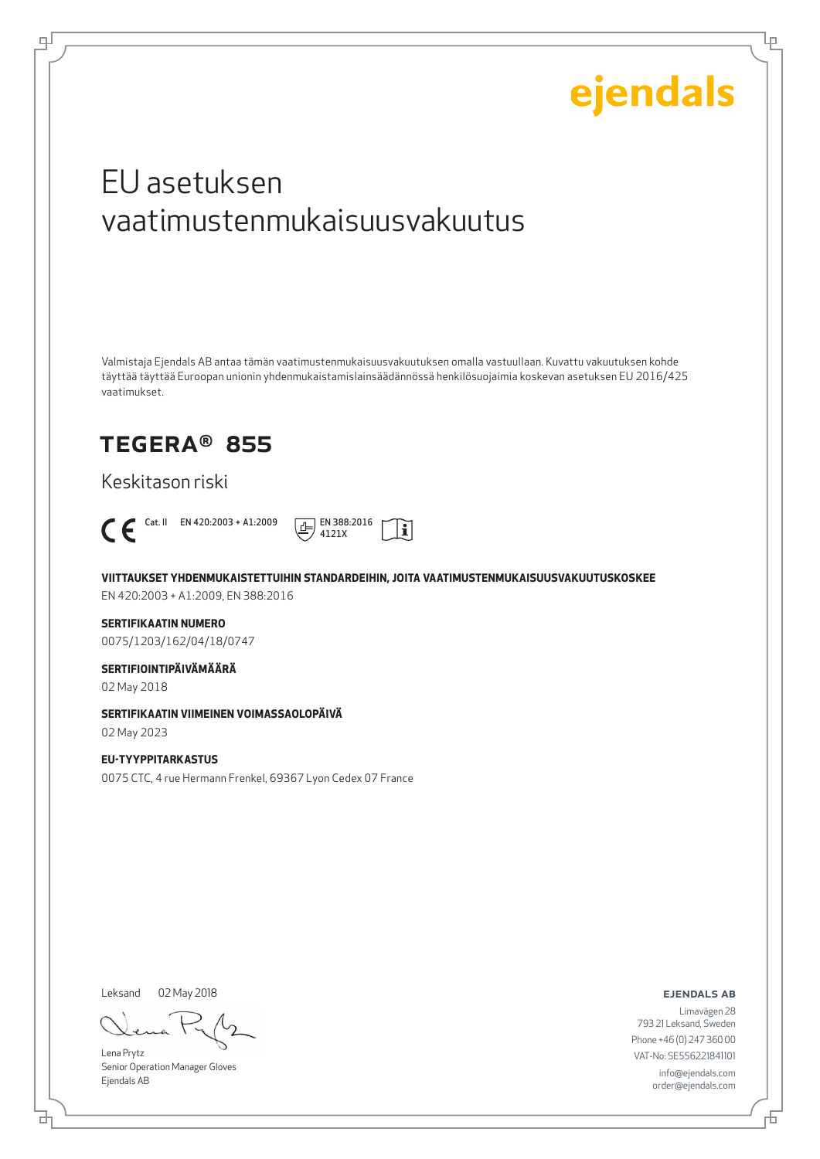Lμ

## EU asetuksen vaatimustenmukaisuusvakuutus

Valmistaja Ejendals AB antaa tämän vaatimustenmukaisuusvakuutuksen omalla vastuullaan. Kuvattu vakuutuksen kohde täyttää täyttää Euroopan unionin yhdenmukaistamislainsäädännössä henkilösuojaimia koskevan asetuksen EU 2016/425 vaatimukset.

### TEGERA® 855

Keskitason riski



டி



**VIITTAUKSET YHDENMUKAISTETTUIHIN STANDARDEIHIN, JOITA VAATIMUSTENMUKAISUUSVAKUUTUSKOSKEE**

EN 420:2003 + A1:2009, EN 388:2016

#### **SERTIFIKAATIN NUMERO**

0075/1203/162/04/18/0747

#### **SERTIFIOINTIPÄIVÄMÄÄRÄ**

02 May 2018

#### **SERTIFIKAATIN VIIMEINEN VOIMASSAOLOPÄIVÄ**

02 May 2023

#### **EU-TYYPPITARKASTUS**

0075 CTC, 4 rue Hermann Frenkel, 69367 Lyon Cedex 07 France

Leksand 02 May 2018

Lena Prytz Senior Operation Manager Gloves Ejendals AB

ejendals ab

₫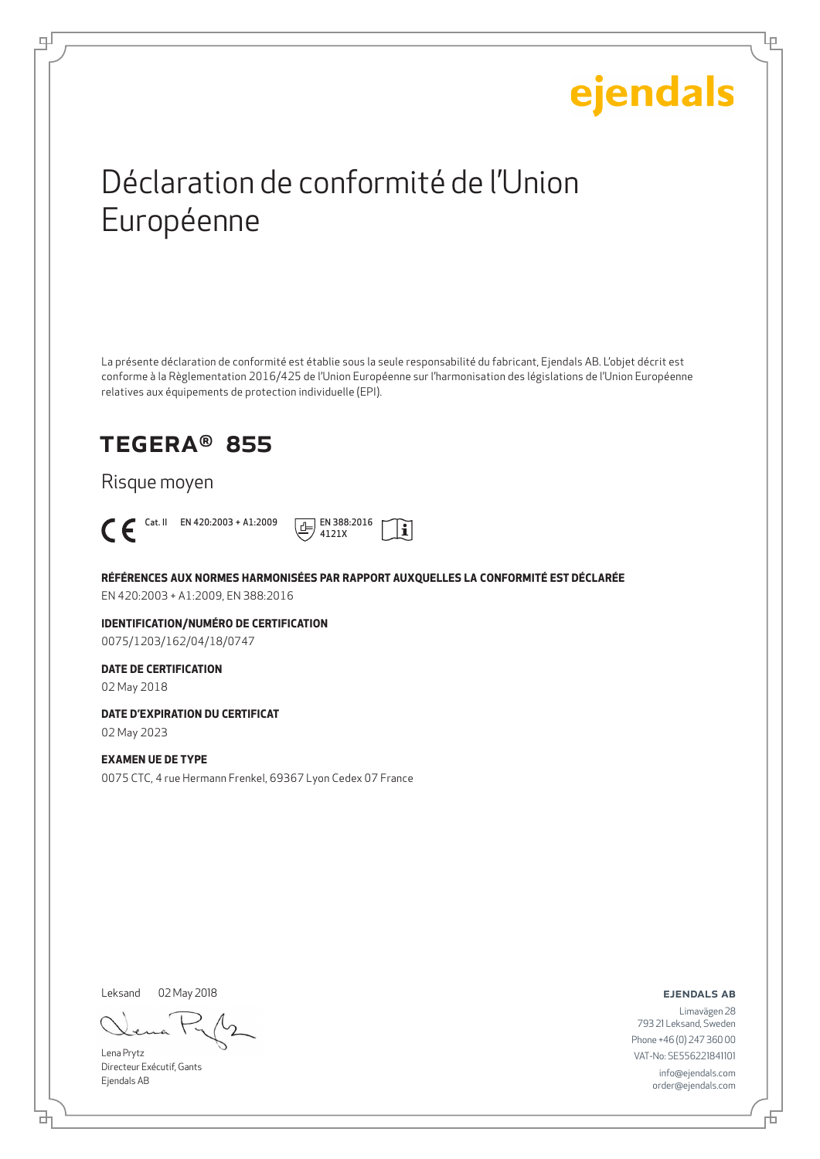Ļμ

## Déclaration de conformité de l'Union Européenne

La présente déclaration de conformité est établie sous la seule responsabilité du fabricant, Ejendals AB. L'objet décrit est conforme à la Règlementation 2016/425 de l'Union Européenne sur l'harmonisation des législations de l'Union Européenne relatives aux équipements de protection individuelle (EPI).

### TEGERA® 855

Risque moyen



டி



**RÉFÉRENCES AUX NORMES HARMONISÉES PAR RAPPORT AUXQUELLES LA CONFORMITÉ EST DÉCLARÉE** EN 420:2003 + A1:2009, EN 388:2016

**IDENTIFICATION/NUMÉRO DE CERTIFICATION** 0075/1203/162/04/18/0747

#### **DATE DE CERTIFICATION**

02 May 2018

**DATE D'EXPIRATION DU CERTIFICAT**

02 May 2023

#### **EXAMEN UE DE TYPE**

0075 CTC, 4 rue Hermann Frenkel, 69367 Lyon Cedex 07 France

Leksand 02 May 2018

Lena Prytz Directeur Exécutif, Gants Ejendals AB

ejendals ab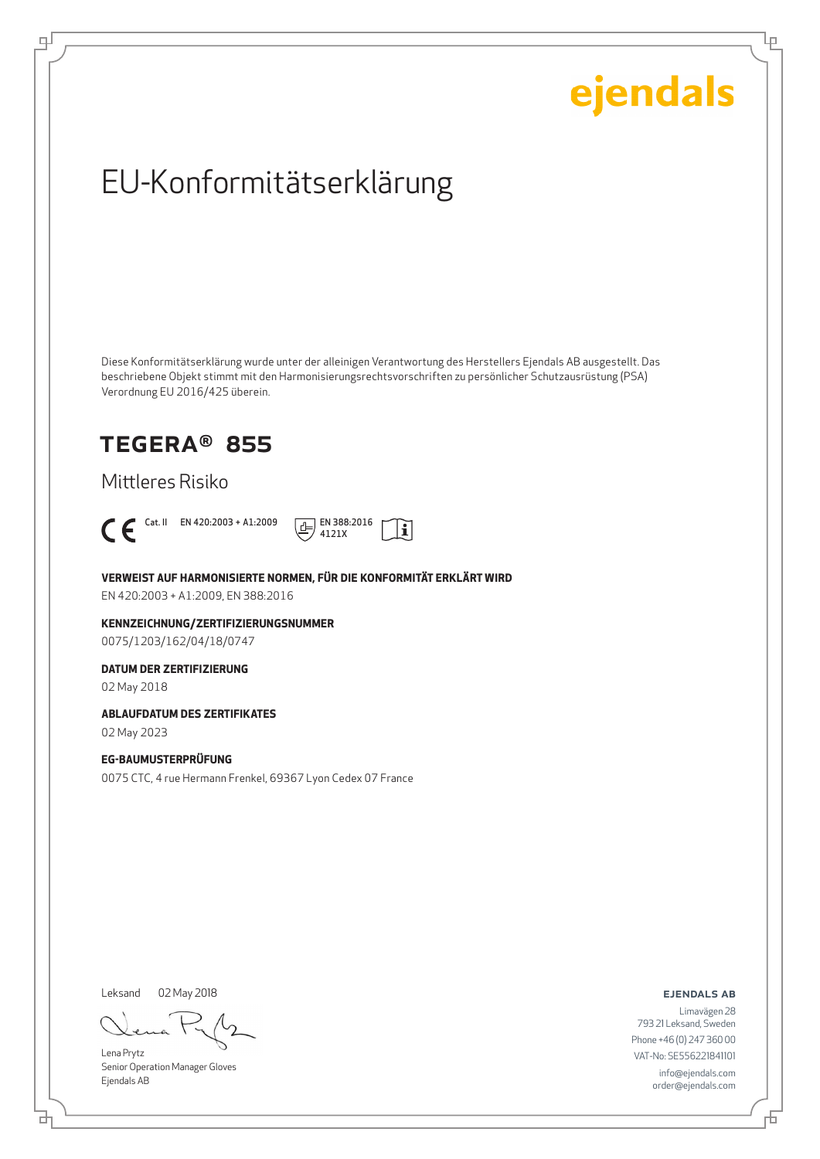Ļμ

## EU-Konformitätserklärung

Diese Konformitätserklärung wurde unter der alleinigen Verantwortung des Herstellers Ejendals AB ausgestellt. Das beschriebene Objekt stimmt mit den Harmonisierungsrechtsvorschriften zu persönlicher Schutzausrüstung (PSA) Verordnung EU 2016/425 überein.

### TEGERA® 855

Mittleres Risiko



டி



**VERWEIST AUF HARMONISIERTE NORMEN, FÜR DIE KONFORMITÄT ERKLÄRT WIRD**

EN 420:2003 + A1:2009, EN 388:2016

**KENNZEICHNUNG/ZERTIFIZIERUNGSNUMMER** 0075/1203/162/04/18/0747

#### **DATUM DER ZERTIFIZIERUNG**

02 May 2018

#### **ABLAUFDATUM DES ZERTIFIKATES**

02 May 2023

#### **EG-BAUMUSTERPRÜFUNG**

0075 CTC, 4 rue Hermann Frenkel, 69367 Lyon Cedex 07 France

Leksand 02 May 2018

Lena Prytz Senior Operation Manager Gloves Ejendals AB

ejendals ab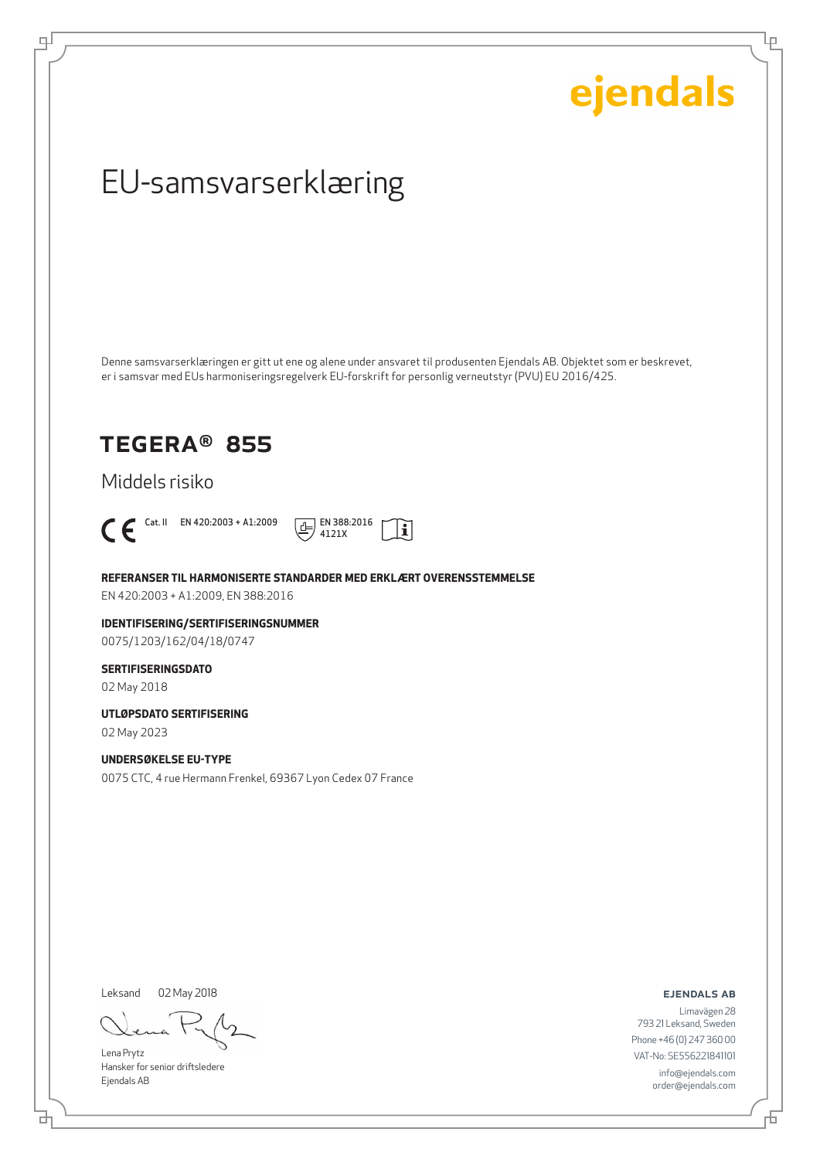Ļμ

## EU-samsvarserklæring

Denne samsvarserklæringen er gitt ut ene og alene under ansvaret til produsenten Ejendals AB. Objektet som er beskrevet, er i samsvar med EUs harmoniseringsregelverk EU-forskrift for personlig verneutstyr (PVU) EU 2016/425.

### TEGERA® 855

Middels risiko



டி



**REFERANSER TIL HARMONISERTE STANDARDER MED ERKLÆRT OVERENSSTEMMELSE**

EN 420:2003 + A1:2009, EN 388:2016

**IDENTIFISERING/SERTIFISERINGSNUMMER** 0075/1203/162/04/18/0747

#### **SERTIFISERINGSDATO**

02 May 2018

**UTLØPSDATO SERTIFISERING**

02 May 2023

#### **UNDERSØKELSE EU-TYPE**

0075 CTC, 4 rue Hermann Frenkel, 69367 Lyon Cedex 07 France

Leksand 02 May 2018

Lena Prytz Hansker for senior driftsledere Ejendals AB

ejendals ab

브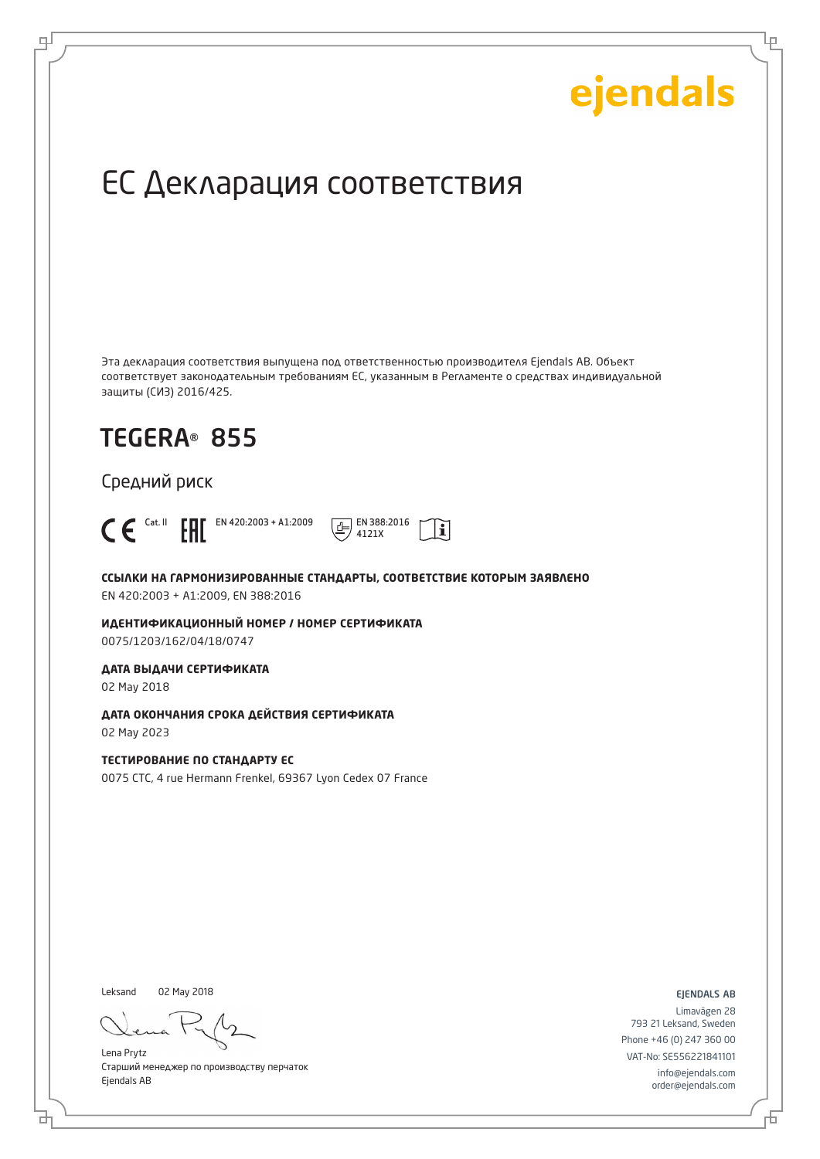Ļμ

## ЕС Декларация соответствия

Эта декларация соответствия выпущена под ответственностью производителя Ejendals AB. Объект соответствует законодательным требованиям ЕС, указанным в Регламенте о средствах индивидуальной защиты (СИЗ) 2016/425.

## TEGERA® 855

Средний риск



டி

**ССЫЛКИ НА ГАРМОНИЗИРОВАННЫЕ СТАНДАРТЫ, СООТВЕТСТВИЕ КОТОРЫМ ЗАЯВЛЕНО** EN 420:2003 + A1:2009, EN 388:2016

4121X

 $|\mathbf{i}|$ 

**ИДЕНТИФИКАЦИОННЫЙ НОМЕР / НОМЕР СЕРТИФИКАТА** 0075/1203/162/04/18/0747

**ДАТА ВЫДАЧИ СЕРТИФИКАТА**

02 May 2018

**ДАТА ОКОНЧАНИЯ СРОКА ДЕЙСТВИЯ СЕРТИФИКАТА** 02 May 2023

**ТЕСТИРОВАНИЕ ПО СТАНДАРТУ ЕС** 0075 CTC, 4 rue Hermann Frenkel, 69367 Lyon Cedex 07 France

Leksand 02 May 2018

Lena Prytz Старший менеджер по производству перчаток Ejendals AB

ejendals ab

Limavägen 28 793 21 Leksand, Sweden Phone +46 (0) 247 360 00 VAT-No: SE556221841101 info@ejendals.com order@ejendals.com

Đ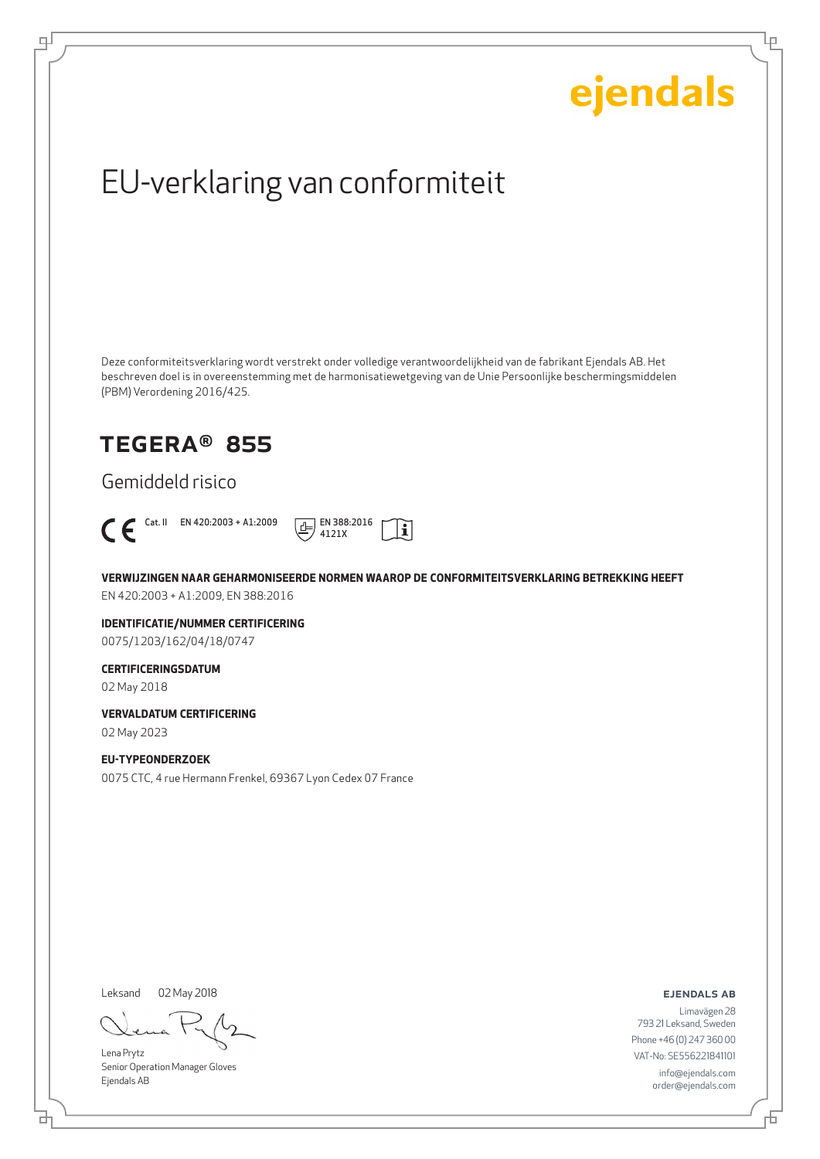Ļμ

## EU-verklaring van conformiteit

Deze conformiteitsverklaring wordt verstrekt onder volledige verantwoordelijkheid van de fabrikant Ejendals AB. Het beschreven doel is in overeenstemming met de harmonisatiewetgeving van de Unie Persoonlijke beschermingsmiddelen (PBM) Verordening 2016/425.

### TEGERA® 855

Gemiddeld risico



டி



**VERWIJZINGEN NAAR GEHARMONISEERDE NORMEN WAAROP DE CONFORMITEITSVERKLARING BETREKKING HEEFT** EN 420:2003 + A1:2009, EN 388:2016

**IDENTIFICATIE/NUMMER CERTIFICERING** 0075/1203/162/04/18/0747

#### **CERTIFICERINGSDATUM**

02 May 2018

**VERVALDATUM CERTIFICERING**

02 May 2023

#### **EU-TYPEONDERZOEK**

0075 CTC, 4 rue Hermann Frenkel, 69367 Lyon Cedex 07 France

Leksand 02 May 2018

브

Lena Prytz Senior Operation Manager Gloves Ejendals AB

ejendals ab

舌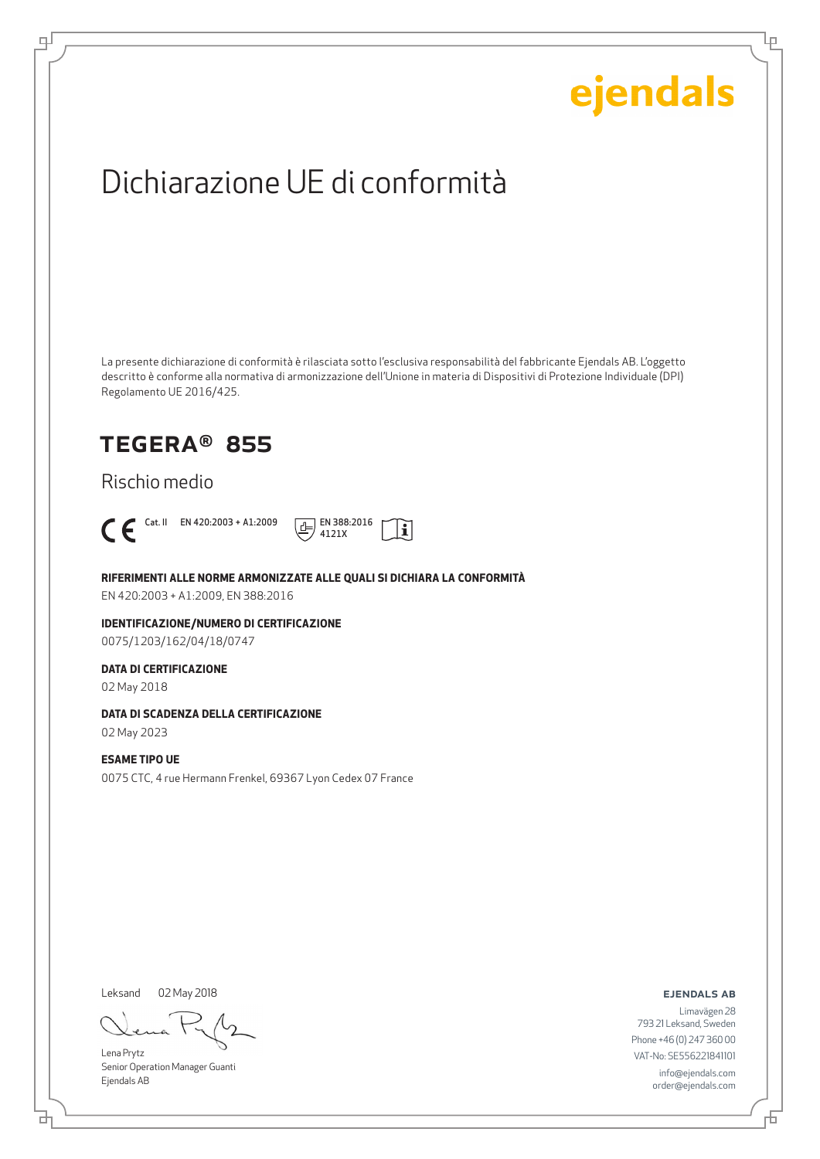Lρ

## Dichiarazione UE di conformità

La presente dichiarazione di conformità è rilasciata sotto l'esclusiva responsabilità del fabbricante Ejendals AB. L'oggetto descritto è conforme alla normativa di armonizzazione dell'Unione in materia di Dispositivi di Protezione Individuale (DPI) Regolamento UE 2016/425.

### TEGERA® 855

Rischio medio



டி



**RIFERIMENTI ALLE NORME ARMONIZZATE ALLE QUALI SI DICHIARA LA CONFORMITÀ**

EN 420:2003 + A1:2009, EN 388:2016

**IDENTIFICAZIONE/NUMERO DI CERTIFICAZIONE** 0075/1203/162/04/18/0747

#### **DATA DI CERTIFICAZIONE**

02 May 2018

#### **DATA DI SCADENZA DELLA CERTIFICAZIONE**

02 May 2023

#### **ESAME TIPO UE**

0075 CTC, 4 rue Hermann Frenkel, 69367 Lyon Cedex 07 France

Leksand 02 May 2018

Lena Prytz Senior Operation Manager Guanti Ejendals AB

ejendals ab

Limavägen 28 793 21 Leksand, Sweden Phone +46 (0) 247 360 00 VAT-No: SE556221841101 info@ejendals.com order@ejendals.com

브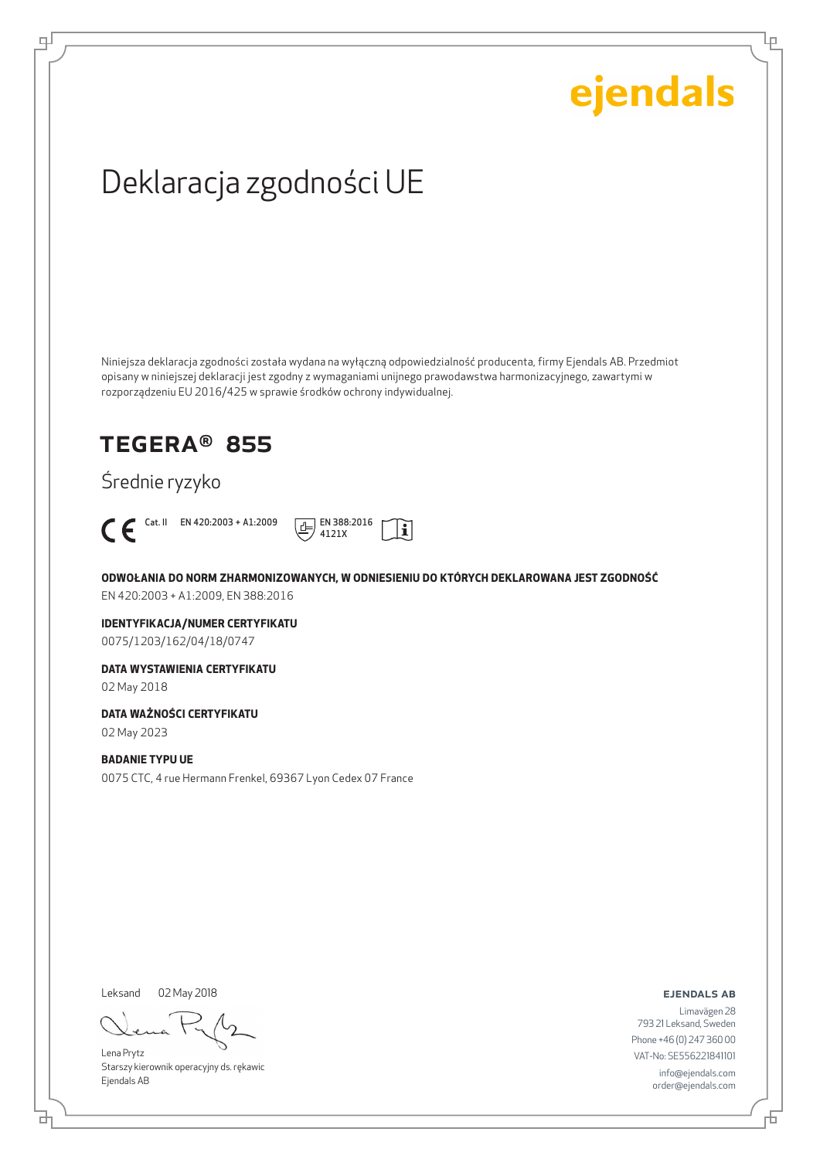Lρ

## Deklaracja zgodności UE

Niniejsza deklaracja zgodności została wydana na wyłączną odpowiedzialność producenta, firmy Ejendals AB. Przedmiot opisany w niniejszej deklaracji jest zgodny z wymaganiami unijnego prawodawstwa harmonizacyjnego, zawartymi w rozporządzeniu EU 2016/425 w sprawie środków ochrony indywidualnej.

### TEGERA® 855

Średnie ryzyko



ψ



**ODWOŁANIA DO NORM ZHARMONIZOWANYCH, W ODNIESIENIU DO KTÓRYCH DEKLAROWANA JEST ZGODNOŚĆ** EN 420:2003 + A1:2009, EN 388:2016

**IDENTYFIKACJA/NUMER CERTYFIKATU** 0075/1203/162/04/18/0747

**DATA WYSTAWIENIA CERTYFIKATU**

02 May 2018

**DATA WAŻNOŚCI CERTYFIKATU**

02 May 2023

#### **BADANIE TYPU UE**

0075 CTC, 4 rue Hermann Frenkel, 69367 Lyon Cedex 07 France

Leksand 02 May 2018

브

Lena Prytz Starszy kierownik operacyjny ds. rękawic Ejendals AB

ejendals ab

Đ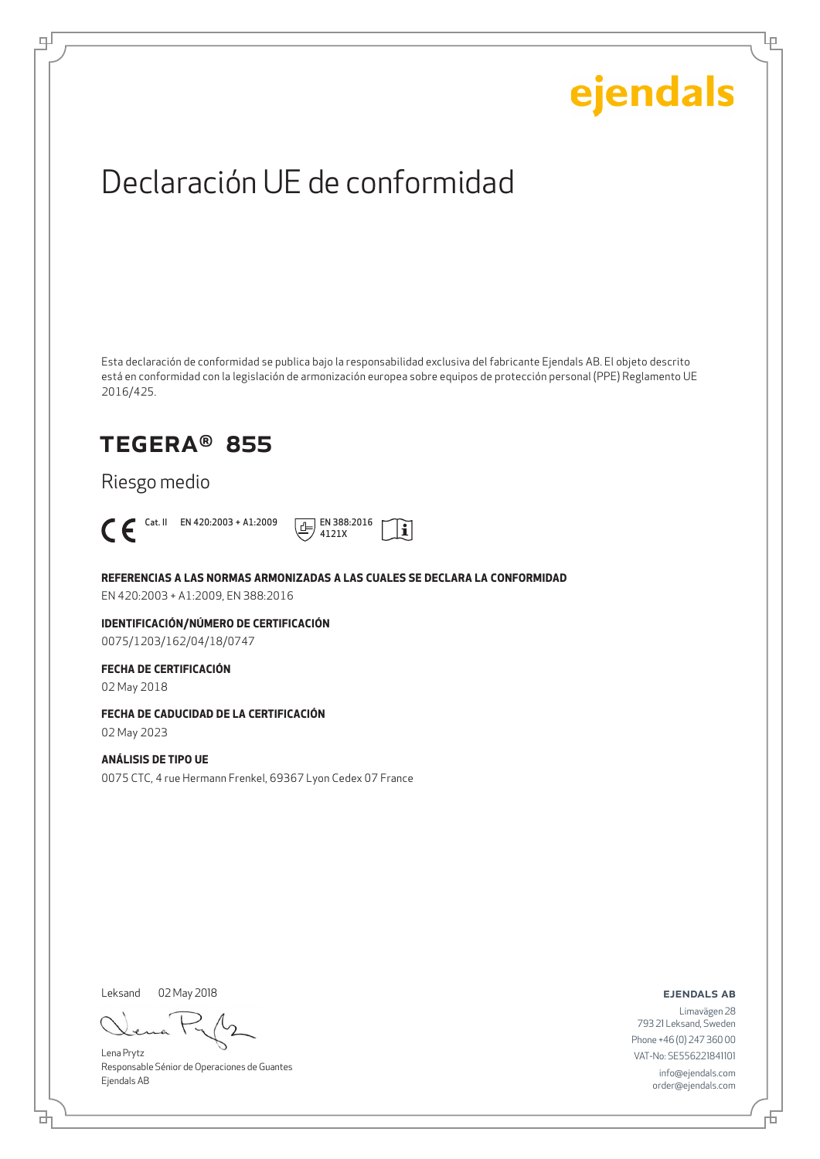Lρ

## Declaración UE de conformidad

Esta declaración de conformidad se publica bajo la responsabilidad exclusiva del fabricante Ejendals AB. El objeto descrito está en conformidad con la legislación de armonización europea sobre equipos de protección personal (PPE) Reglamento UE 2016/425.

### TEGERA® 855

Riesgo medio



டி



**REFERENCIAS A LAS NORMAS ARMONIZADAS A LAS CUALES SE DECLARA LA CONFORMIDAD**

EN 420:2003 + A1:2009, EN 388:2016

**IDENTIFICACIÓN/NÚMERO DE CERTIFICACIÓN** 0075/1203/162/04/18/0747

#### **FECHA DE CERTIFICACIÓN**

02 May 2018

#### **FECHA DE CADUCIDAD DE LA CERTIFICACIÓN**

02 May 2023

#### **ANÁLISIS DE TIPO UE**

0075 CTC, 4 rue Hermann Frenkel, 69367 Lyon Cedex 07 France

Leksand 02 May 2018

Lena Prytz Responsable Sénior de Operaciones de Guantes Ejendals AB

ejendals ab

브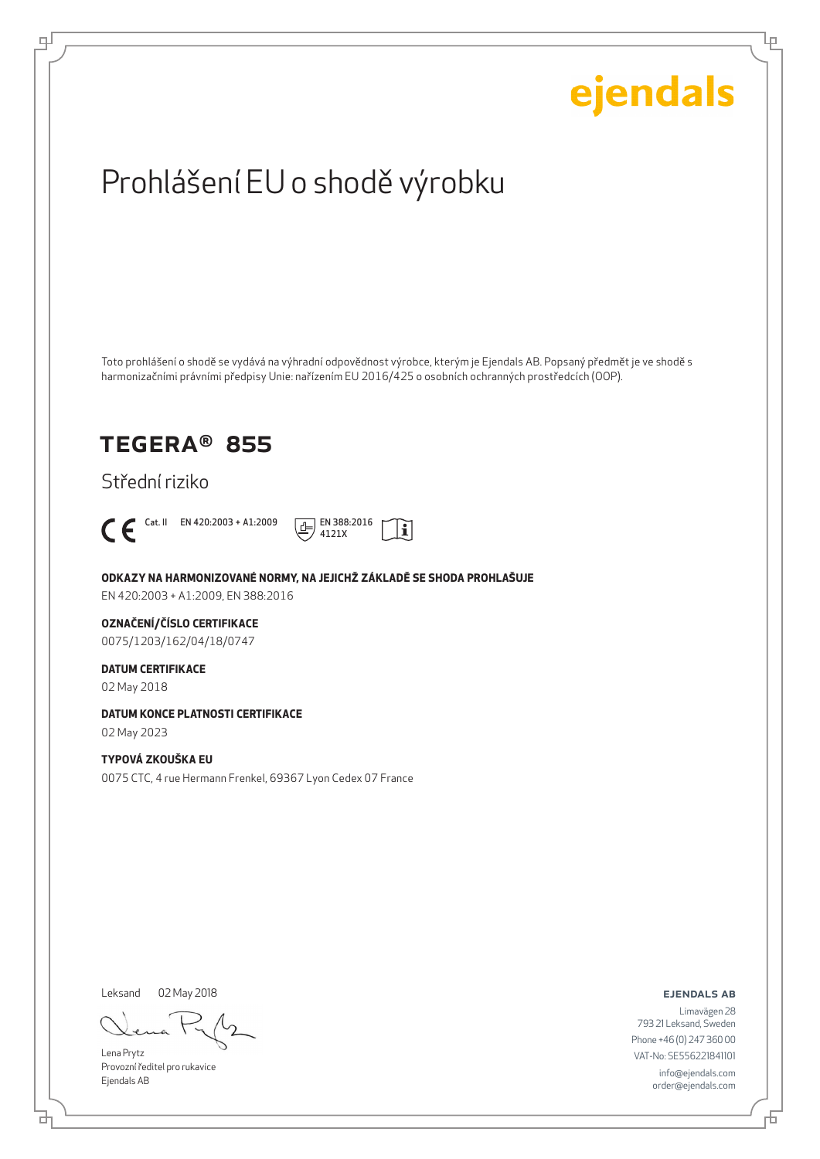

Leksand 02 May 2018

브

டி

Lena Prytz Provozní ředitel pro rukavice Ejendals AB

ejendals ab

Limavägen 28 793 21 Leksand, Sweden Phone +46 (0) 247 360 00 VAT-No: SE556221841101 info@ejendals.com order@ejendals.com

舌

Ļμ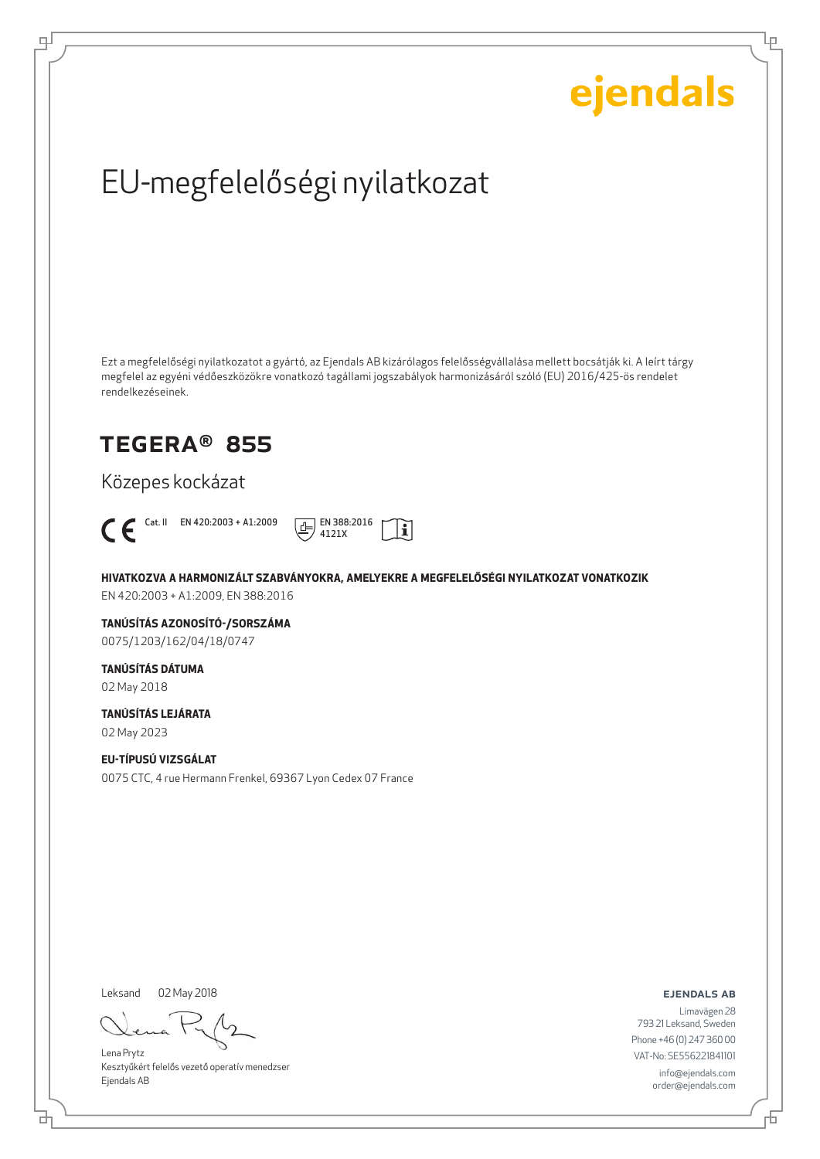Ļμ

## EU-megfelelőségi nyilatkozat

Ezt a megfelelőségi nyilatkozatot a gyártó, az Ejendals AB kizárólagos felelősségvállalása mellett bocsátják ki. A leírt tárgy megfelel az egyéni védőeszközökre vonatkozó tagállami jogszabályok harmonizásáról szóló (EU) 2016/425-ös rendelet rendelkezéseinek.

### TEGERA® 855

Közepes kockázat



ψ



**HIVATKOZVA A HARMONIZÁLT SZABVÁNYOKRA, AMELYEKRE A MEGFELELŐSÉGI NYILATKOZAT VONATKOZIK** EN 420:2003 + A1:2009, EN 388:2016

**TANÚSÍTÁS AZONOSÍTÓ-/SORSZÁMA**

0075/1203/162/04/18/0747

**TANÚSÍTÁS DÁTUMA** 02 May 2018

**TANÚSÍTÁS LEJÁRATA**

02 May 2023

#### **EU-TÍPUSÚ VIZSGÁLAT**

0075 CTC, 4 rue Hermann Frenkel, 69367 Lyon Cedex 07 France

Leksand 02 May 2018

Lena Prytz Kesztyűkért felelős vezető operatív menedzser Ejendals AB

ejendals ab

Đ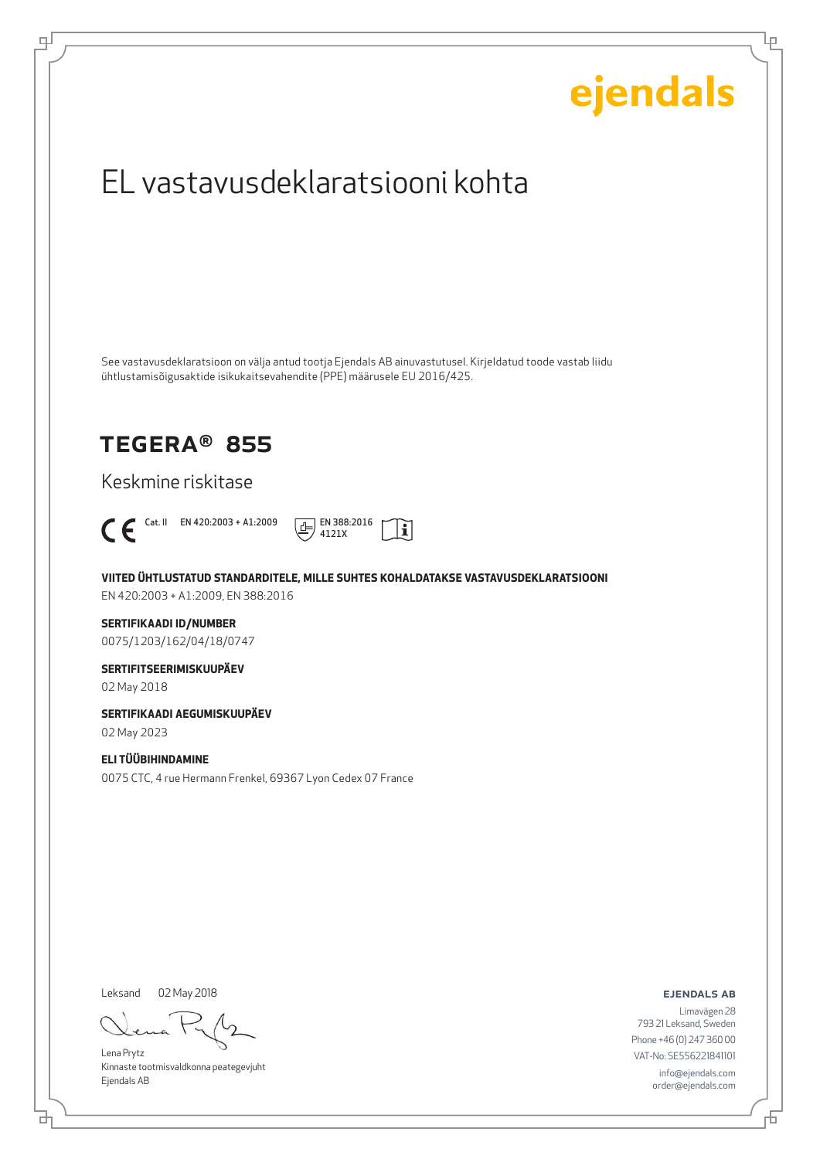## ejendals EL vastavusdeklaratsiooni kohta See vastavusdeklaratsioon on välja antud tootja Ejendals AB ainuvastutusel. Kirjeldatud toode vastab liidu ühtlustamisõigusaktide isikukaitsevahendite (PPE) määrusele EU 2016/425. TEGERA® 855 Keskmine riskitase  $\bigcap_{4121X}$  Cat. II EN 420:2003 + A1:2009  $\boxed{\underline{4}}$  EN 388:2016  $|\tilde{\mathbf{i}}|$ 4121X **VIITED ÜHTLUSTATUD STANDARDITELE, MILLE SUHTES KOHALDATAKSE VASTAVUSDEKLARATSIOONI** EN 420:2003 + A1:2009, EN 388:2016 **SERTIFIKAADI ID/NUMBER** 0075/1203/162/04/18/0747 **SERTIFITSEERIMISKUUPÄEV** 02 May 2018 **SERTIFIKAADI AEGUMISKUUPÄEV** 02 May 2023 **ELI TÜÜBIHINDAMINE** 0075 CTC, 4 rue Hermann Frenkel, 69367 Lyon Cedex 07 France Leksand 02 May 2018ejendals ab Limavägen 28 793 21 Leksand, Sweden Phone +46 (0) 247 360 00

Lena Prytz Kinnaste tootmisvaldkonna peategevjuht Ejendals AB

브

டி

VAT-No: SE556221841101 info@ejendals.com order@ejendals.com

Ļμ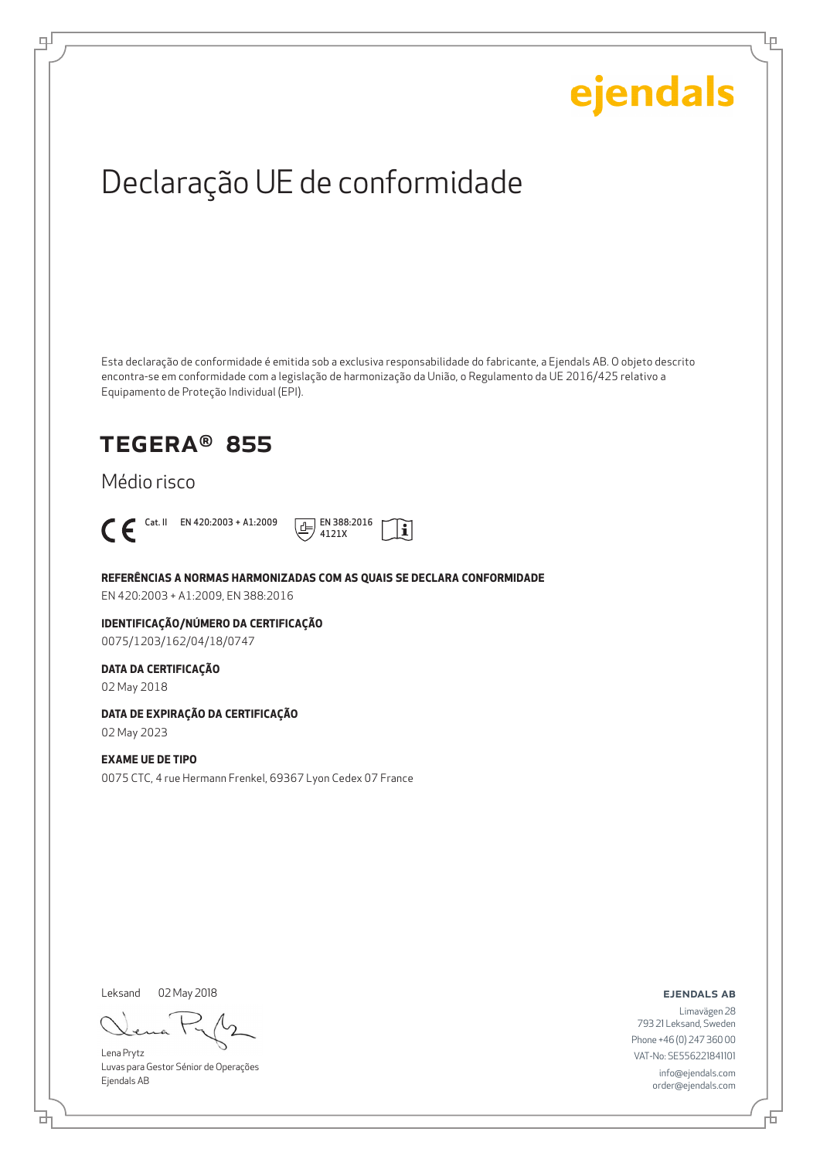Ļμ

## Declaração UE de conformidade

Esta declaração de conformidade é emitida sob a exclusiva responsabilidade do fabricante, a Ejendals AB. O objeto descrito encontra-se em conformidade com a legislação de harmonização da União, o Regulamento da UE 2016/425 relativo a Equipamento de Proteção Individual (EPI).

### TEGERA® 855

#### Médio risco



ψ



**REFERÊNCIAS A NORMAS HARMONIZADAS COM AS QUAIS SE DECLARA CONFORMIDADE**

EN 420:2003 + A1:2009, EN 388:2016

#### **IDENTIFICAÇÃO/NÚMERO DA CERTIFICAÇÃO** 0075/1203/162/04/18/0747

#### **DATA DA CERTIFICAÇÃO**

02 May 2018

#### **DATA DE EXPIRAÇÃO DA CERTIFICAÇÃO**

02 May 2023

#### **EXAME UE DE TIPO**

0075 CTC, 4 rue Hermann Frenkel, 69367 Lyon Cedex 07 France

Leksand 02 May 2018

Lena Prytz Luvas para Gestor Sénior de Operações Ejendals AB

ejendals ab

Limavägen 28 793 21 Leksand, Sweden Phone +46 (0) 247 360 00 VAT-No: SE556221841101 info@ejendals.com order@ejendals.com

₫

Б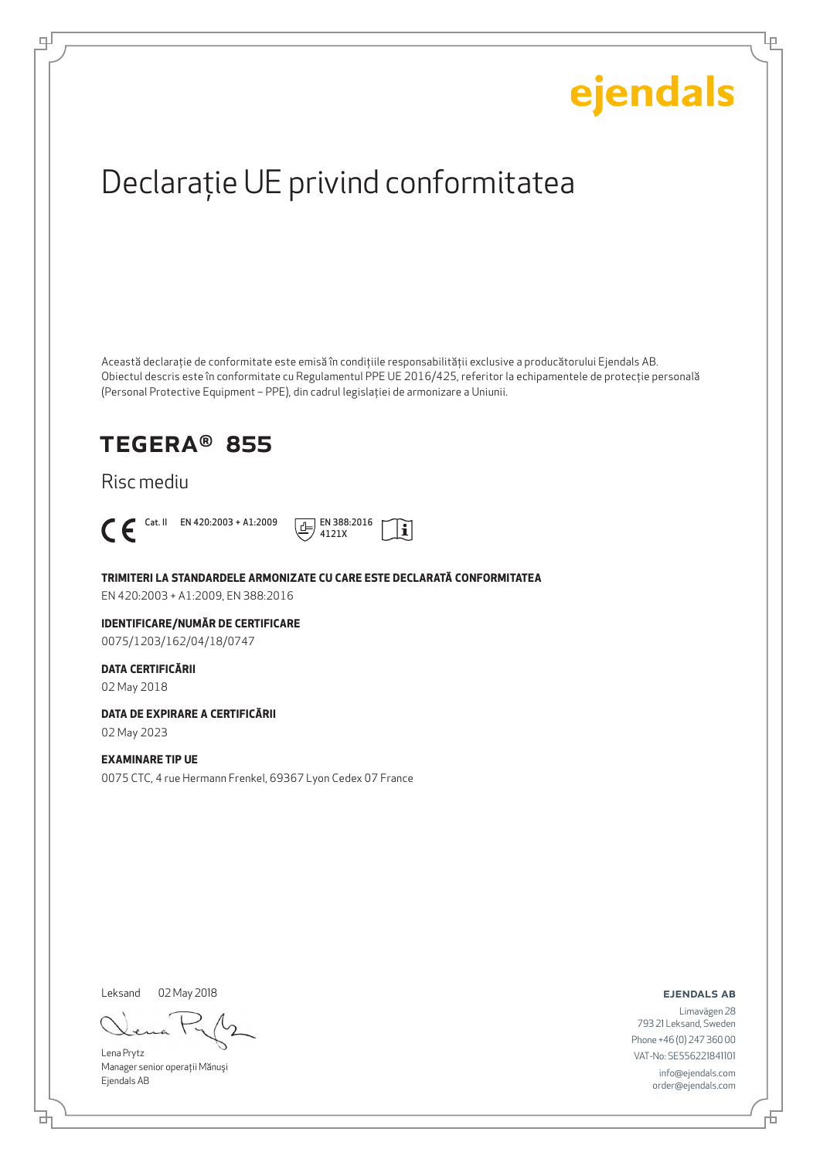Ļμ

## Declaraţie UE privind conformitatea

Această declaraţie de conformitate este emisă în condiţiile responsabilităţii exclusive a producătorului Ejendals AB. Obiectul descris este în conformitate cu Regulamentul PPE UE 2016/425, referitor la echipamentele de protecţie personală (Personal Protective Equipment – PPE), din cadrul legislaţiei de armonizare a Uniunii.

### TEGERA® 855

#### Risc mediu



டி



**TRIMITERI LA STANDARDELE ARMONIZATE CU CARE ESTE DECLARATĂ CONFORMITATEA**

EN 420:2003 + A1:2009, EN 388:2016

#### **IDENTIFICARE/NUMĂR DE CERTIFICARE**

0075/1203/162/04/18/0747

#### **DATA CERTIFICĂRII**

02 May 2018

#### **DATA DE EXPIRARE A CERTIFICĂRII**

02 May 2023

#### **EXAMINARE TIP UE**

0075 CTC, 4 rue Hermann Frenkel, 69367 Lyon Cedex 07 France

Leksand

02 May 2018

Lena Prytz Manager senior operatii Mănuși Ejendals AB

ejendals ab

₫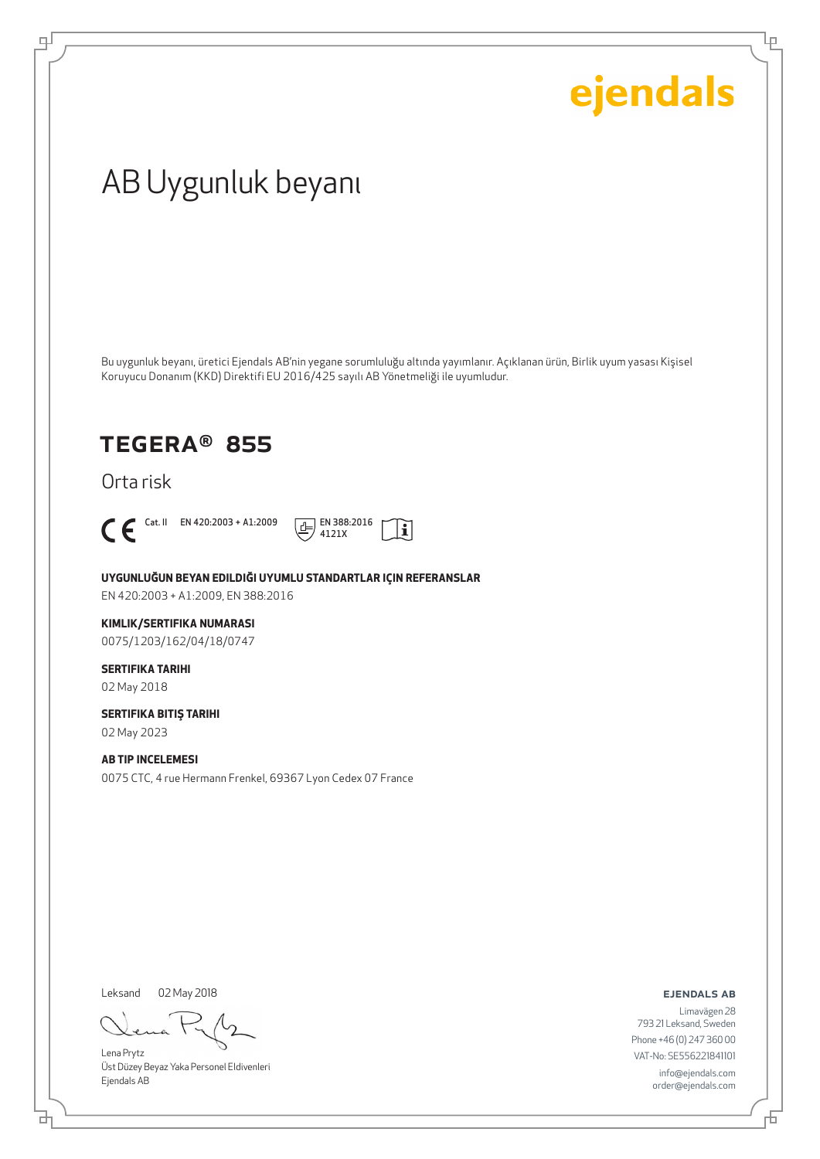Ļρ

## AB Uygunluk beyanı

Bu uygunluk beyanı, üretici Ejendals AB'nin yegane sorumluluğu altında yayımlanır. Açıklanan ürün, Birlik uyum yasası Kişisel Koruyucu Donanım (KKD) Direktifi EU 2016/425 sayılı AB Yönetmeliği ile uyumludur.

### TEGERA® 855

Orta risk



டி



**UYGUNLUĞUN BEYAN EDILDIĞI UYUMLU STANDARTLAR IÇIN REFERANSLAR** EN 420:2003 + A1:2009, EN 388:2016

#### **KIMLIK/SERTIFIKA NUMARASI**

0075/1203/162/04/18/0747

#### **SERTIFIKA TARIHI** 02 May 2018

**SERTIFIKA BITIŞ TARIHI** 02 May 2023

**AB TIP INCELEMESI** 0075 CTC, 4 rue Hermann Frenkel, 69367 Lyon Cedex 07 France

Leksand 02 May 2018

Lena Prytz Üst Düzey Beyaz Yaka Personel Eldivenleri Ejendals AB

#### ejendals ab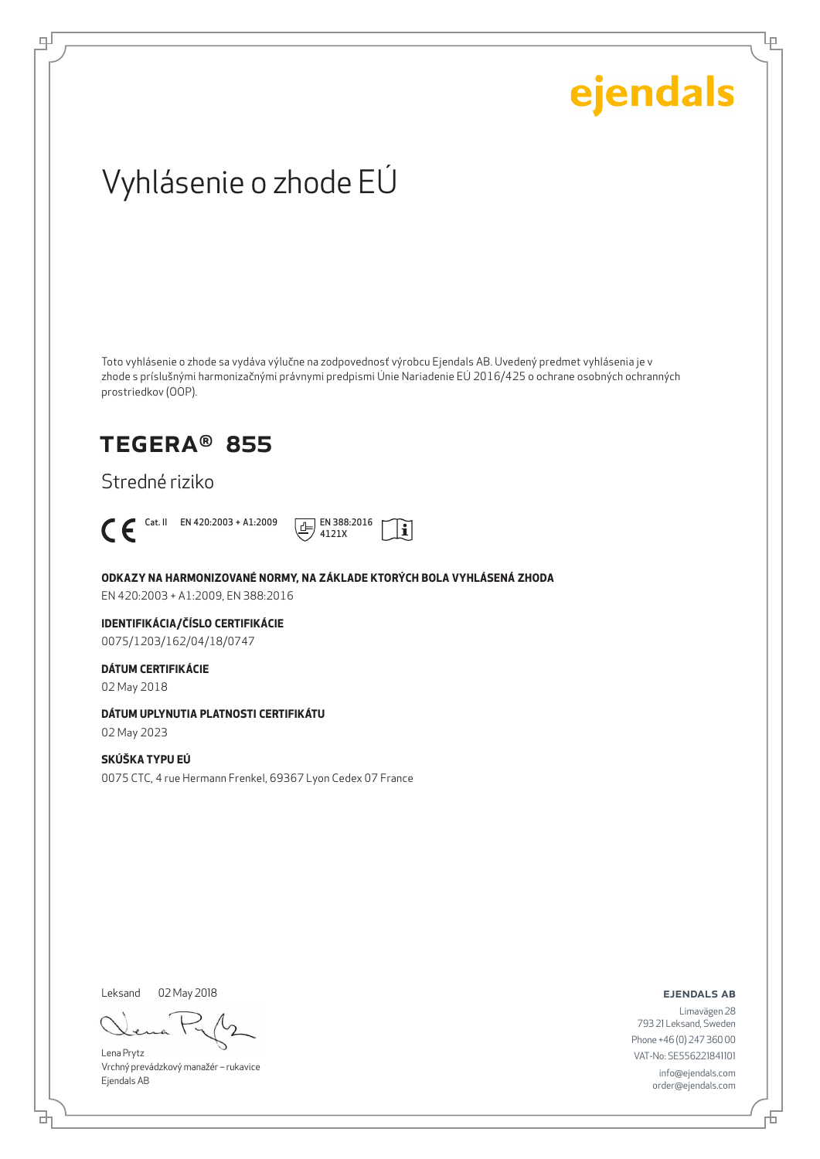Lρ

## Vyhlásenie o zhode EÚ

Toto vyhlásenie o zhode sa vydáva výlučne na zodpovednosť výrobcu Ejendals AB. Uvedený predmet vyhlásenia je v zhode s príslušnými harmonizačnými právnymi predpismi Únie Nariadenie EÚ 2016/425 o ochrane osobných ochranných prostriedkov (OOP).

### TEGERA® 855

Stredné riziko



டி



**ODKAZY NA HARMONIZOVANÉ NORMY, NA ZÁKLADE KTORÝCH BOLA VYHLÁSENÁ ZHODA**

EN 420:2003 + A1:2009, EN 388:2016

#### **IDENTIFIKÁCIA/ČÍSLO CERTIFIKÁCIE**

0075/1203/162/04/18/0747

#### **DÁTUM CERTIFIKÁCIE**

02 May 2018

#### **DÁTUM UPLYNUTIA PLATNOSTI CERTIFIKÁTU**

02 May 2023

#### **SKÚŠKA TYPU EÚ**

0075 CTC, 4 rue Hermann Frenkel, 69367 Lyon Cedex 07 France

Leksand 02 May 2018

Lena Prytz Vrchný prevádzkový manažér – rukavice Ejendals AB

ejendals ab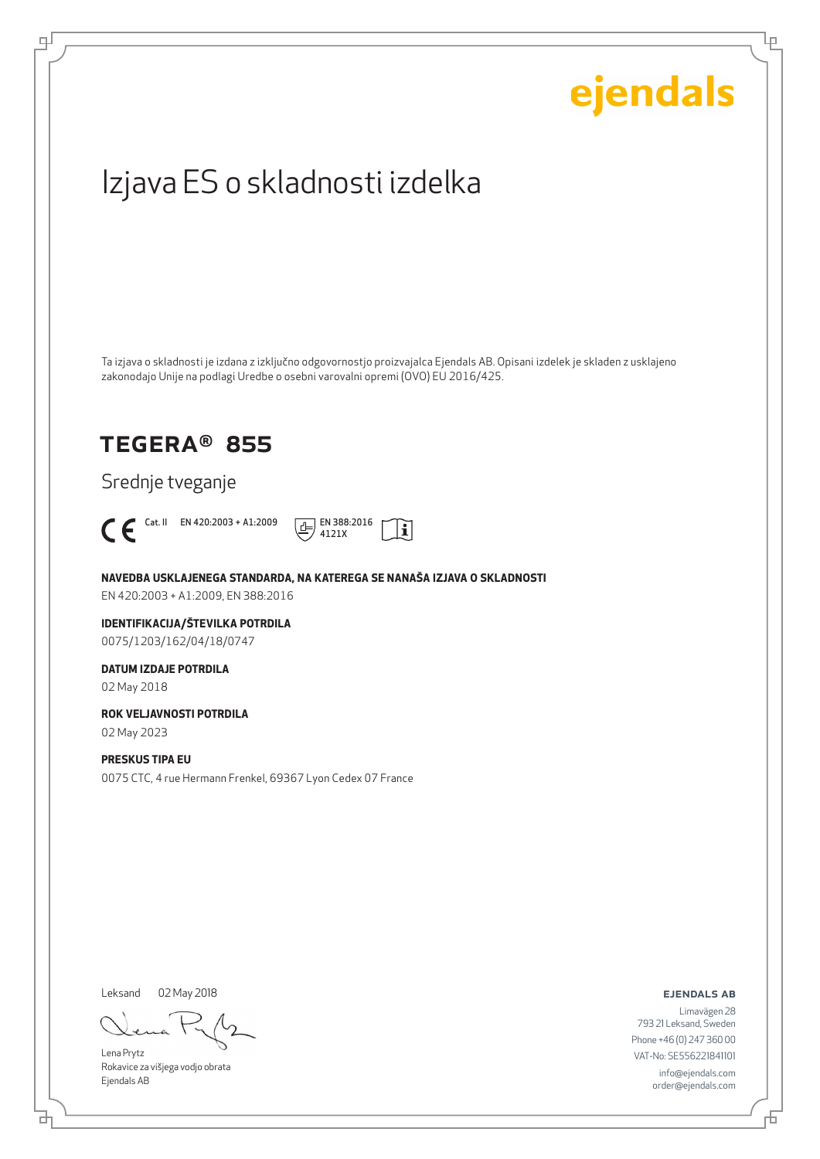# ejendals Izjava ES o skladnosti izdelka Ta izjava o skladnosti je izdana z izključno odgovornostjo proizvajalca Ejendals AB. Opisani izdelek je skladen z usklajeno zakonodajo Unije na podlagi Uredbe o osebni varovalni opremi (OVO) EU 2016/425. TEGERA® 855 Srednje tveganje  $\bigcap$  En 420:2003 + A1:2009  $\bigoplus_{4121X}$  EN 388:2016  $|\tilde{\mathbf{i}}|$ 4121X **NAVEDBA USKLAJENEGA STANDARDA, NA KATEREGA SE NANAŠA IZJAVA O SKLADNOSTI** EN 420:2003 + A1:2009, EN 388:2016 **IDENTIFIKACIJA/ŠTEVILKA POTRDILA** 0075/1203/162/04/18/0747 **DATUM IZDAJE POTRDILA** 02 May 2018 **ROK VELJAVNOSTI POTRDILA** 02 May 2023 **PRESKUS TIPA EU** 0075 CTC, 4 rue Hermann Frenkel, 69367 Lyon Cedex 07 France

Leksand 02 May 2018

브

டி

Lena Prytz Rokavice za višjega vodjo obrata Ejendals AB

ejendals ab

舌

Ļμ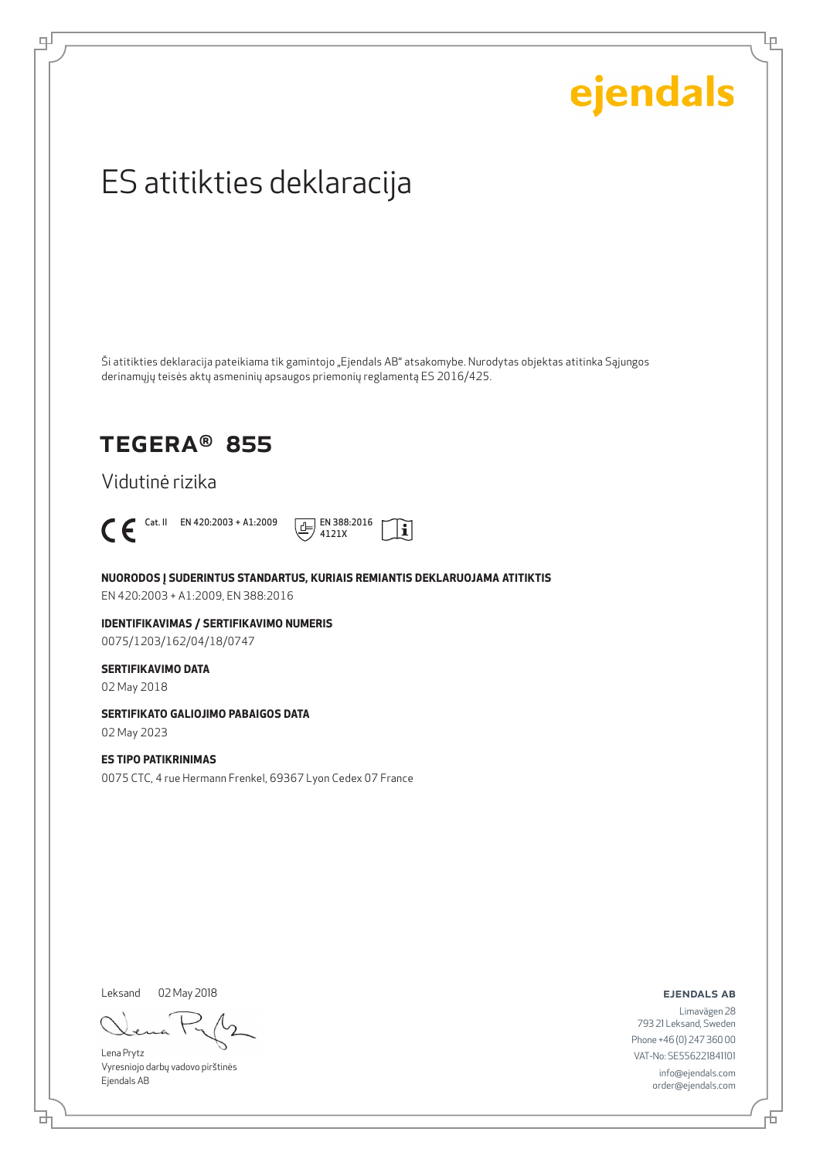Ļμ

## ES atitikties deklaracija

Ši atitikties deklaracija pateikiama tik gamintojo "Ejendals AB" atsakomybe. Nurodytas objektas atitinka Sąjungos derinamųjų teisės aktų asmeninių apsaugos priemonių reglamentą ES 2016/425.

### TEGERA® 855

Vidutinė rizika



டி



**NUORODOS Į SUDERINTUS STANDARTUS, KURIAIS REMIANTIS DEKLARUOJAMA ATITIKTIS** EN 420:2003 + A1:2009, EN 388:2016

**IDENTIFIKAVIMAS / SERTIFIKAVIMO NUMERIS** 0075/1203/162/04/18/0747

#### **SERTIFIKAVIMO DATA**

02 May 2018

#### **SERTIFIKATO GALIOJIMO PABAIGOS DATA**

02 May 2023

#### **ES TIPO PATIKRINIMAS**

0075 CTC, 4 rue Hermann Frenkel, 69367 Lyon Cedex 07 France

Leksand

02 May 2018

Lena Prytz Vyresniojo darbų vadovo pirštinės Ejendals AB

ejendals ab

Limavägen 28 793 21 Leksand, Sweden Phone +46 (0) 247 360 00 VAT-No: SE556221841101 info@ejendals.com order@ejendals.com

舌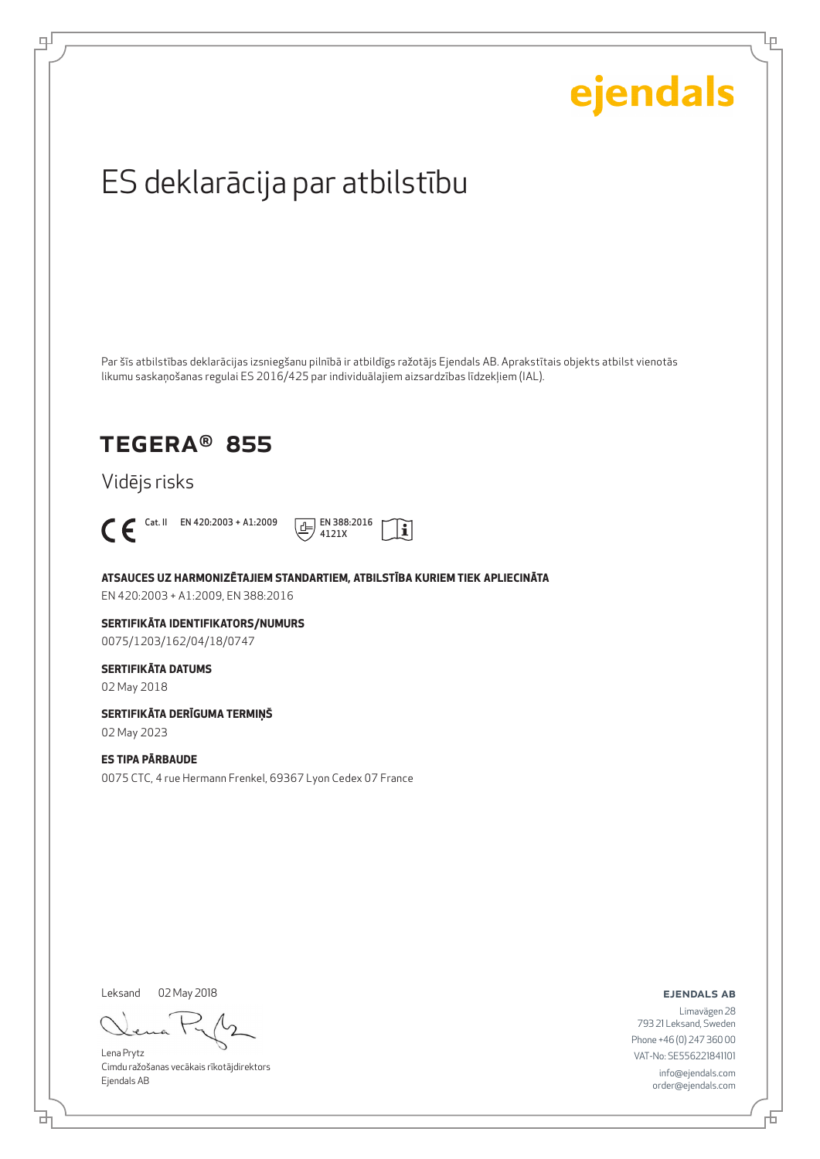Lρ

## ES deklarācija par atbilstību

Par šīs atbilstības deklarācijas izsniegšanu pilnībā ir atbildīgs ražotājs Ejendals AB. Aprakstītais objekts atbilst vienotās likumu saskaņošanas regulai ES 2016/425 par individuālajiem aizsardzības līdzekļiem (IAL).

### TEGERA® 855

Vidējs risks



டி



**ATSAUCES UZ HARMONIZĒTAJIEM STANDARTIEM, ATBILSTĪBA KURIEM TIEK APLIECINĀTA**

EN 420:2003 + A1:2009, EN 388:2016

#### **SERTIFIKĀTA IDENTIFIKATORS/NUMURS** 0075/1203/162/04/18/0747

#### **SERTIFIKĀTA DATUMS**

02 May 2018

#### **SERTIFIKĀTA DERĪGUMA TERMIŅŠ**

02 May 2023

#### **ES TIPA PĀRBAUDE**

0075 CTC, 4 rue Hermann Frenkel, 69367 Lyon Cedex 07 France

Leksand 02 May 2018

Lena Prytz Cimdu ražošanas vecākais rīkotājdirektors Ejendals AB

ejendals ab

브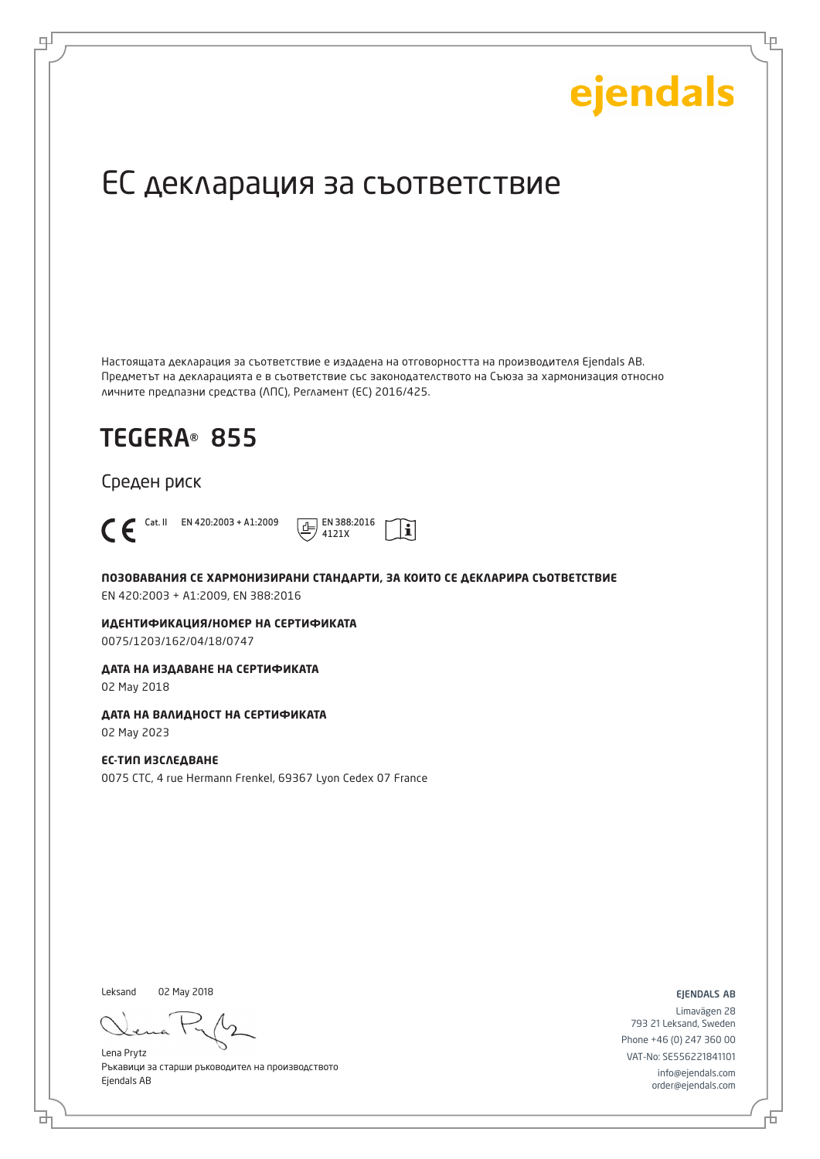Ļμ

## ЕС декларация за съответствие

Настоящата декларация за съответствие е издадена на отговорността на производителя Ejendals AB. Предметът на декларацията е в съответствие със законодателството на Съюза за хармонизация относно личните предпазни средства (ЛПС), Регламент (ЕС) 2016/425.

 $\mathbf i$ 

## TEGERA® 855

Среден риск



டி

Cat. II EN 420:2003 + A1:2009  $\boxed{+}$  EN 388:2016 4121X

**ПОЗОВАВАНИЯ СЕ ХАРМОНИЗИРАНИ СТАНДАРТИ, ЗА КОИТО СЕ ДЕКЛАРИРА СЪОТВЕТСТВИЕ** EN 420:2003 + A1:2009, EN 388:2016

**ИДЕНТИФИКАЦИЯ/НОМЕР НА СЕРТИФИКАТА** 0075/1203/162/04/18/0747

**ДАТА НА ИЗДАВАНЕ НА СЕРТИФИКАТА**

02 May 2018

#### **ДАТА НА ВАЛИДНОСТ НА СЕРТИФИКАТА**

02 May 2023

#### **ЕС-ТИП ИЗСЛЕДВАНЕ** 0075 CTC, 4 rue Hermann Frenkel, 69367 Lyon Cedex 07 France

Leksand 02 May 2018

Lena Prytz Ръкавици за старши ръководител на производството Ejendals AB

ejendals ab

Limavägen 28 793 21 Leksand, Sweden Phone +46 (0) 247 360 00 VAT-No: SE556221841101 info@ejendals.com order@ejendals.com

Б